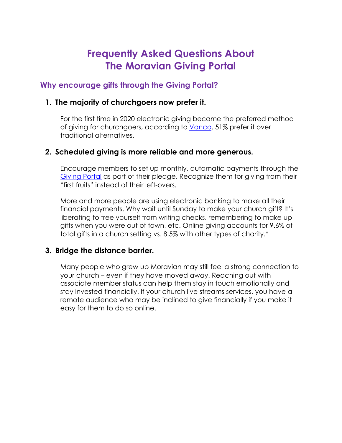# **Frequently Asked Questions About The Moravian Giving Portal**

## **Why encourage gifts through the Giving Portal?**

#### **1. The majority of churchgoers now prefer it.**

For the first time in 2020 electronic giving became the preferred method of giving for churchgoers, according to Vanco. 51% prefer it over traditional alternatives.

## **2. Scheduled giving is more reliable and more generous.**

Encourage members to set up monthly, automatic payments through the Giving Portal as part of their pledge. Recognize them for giving from their "first fruits" instead of their left-overs.

More and more people are using electronic banking to make all their financial payments. Why wait until Sunday to make your church gift? It's liberating to free yourself from writing checks, remembering to make up gifts when you were out of town, etc. Online giving accounts for 9.6% of total gifts in a church setting vs. 8.5% with other types of charity.\*

#### **3. Bridge the distance barrier.**

Many people who grew up Moravian may still feel a strong connection to your church – even if they have moved away. Reaching out with associate member status can help them stay in touch emotionally and stay invested financially. If your church live streams services, you have a remote audience who may be inclined to give financially if you make it easy for them to do so online.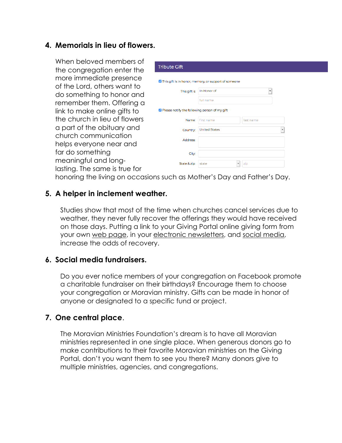### **4. Memorials in lieu of flowers.**

When beloved members of the congregation enter the more immediate presence of the Lord, others want to do something to honor and remember them. Offering a link to make online gifts to the church in lieu of flowers a part of the obituary and church communication helps everyone near and far do something meaningful and longlasting. The same is true for

| <b>Tribute Gift</b>                                  |                      |           |  |
|------------------------------------------------------|----------------------|-----------|--|
|                                                      |                      |           |  |
| This gift is in honor, memory, or support of someone |                      |           |  |
| This gift is                                         | In Honor of<br>٠     |           |  |
|                                                      | full name            |           |  |
| Rease notify the following person of my gift         |                      |           |  |
| Name:                                                | first name           | last name |  |
| Country:                                             | <b>United States</b> |           |  |
| Address:                                             |                      |           |  |
|                                                      |                      |           |  |
| City:                                                |                      |           |  |
| State & zip:                                         | state                | zip       |  |

honoring the living on occasions such as Mother's Day and Father's Day.

#### **5. A helper in inclement weather.**

Studies show that most of the time when churches cancel services due to weather, they never fully recover the offerings they would have received on those days. Putting a link to your Giving Portal online giving form from your own web page, in your electronic newsletters, and social media, increase the odds of recovery.

#### **6. Social media fundraisers.**

Do you ever notice members of your congregation on Facebook promote a charitable fundraiser on their birthdays? Encourage them to choose your congregation or Moravian ministry. Gifts can be made in honor of anyone or designated to a specific fund or project.

#### **7. One central place**.

The Moravian Ministries Foundation's dream is to have all Moravian ministries represented in one single place. When generous donors go to make contributions to their favorite Moravian ministries on the Giving Portal, don't you want them to see you there? Many donors give to multiple ministries, agencies, and congregations.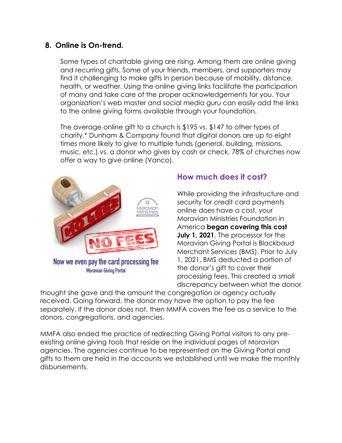## **8. Online is On-trend.**

Some types of charitable giving are rising. Among them are online giving and recurring gifts. Some of your friends, members, and supporters may find it challenging to make gifts in person because of mobility, distance, health, or weather. Using the online giving links facilitate the participation of many and take care of the proper acknowledgements for you. Your organization's web master and social media guru can easily add the links to the online giving forms available through your foundation.

The average online gift to a church is \$195 vs. \$147 to other types of charity.\* Dunham & Company found that digital donors are up to eight times more likely to give to multiple funds (general, building, missions, music, etc.) vs. a donor who gives by cash or check. 78% of churches now offer a way to give online (Vanco).



# **How much does it cost?**

While providing the infrastructure and security for credit card payments online does have a cost, your Moravian Ministries Foundation in America **began covering this cost July 1, 2021**. The processor for the Moravian Giving Portal is Blackbaud Merchant Services (BMS). Prior to July 1, 2021, BMS deducted a portion of the donor's gift to cover their processing fees. This created a small discrepancy between what the donor

thought she gave and the amount the congregation or agency actually received. Going forward, the donor may have the option to pay the fee separately. If the donor does not, then MMFA covers the fee as a service to the donors, congregations, and agencies.

MMFA also ended the practice of redirecting Giving Portal visitors to any preexisting online giving tools that reside on the individual pages of Moravian agencies. The agencies continue to be represented on the Giving Portal and gifts to them are held in the accounts we established until we make the monthly disbursements.